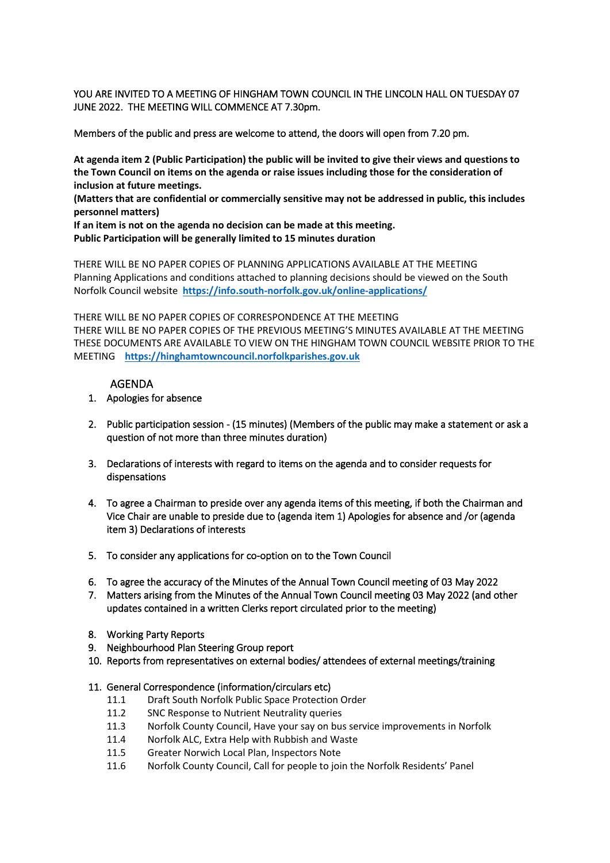YOU ARE INVITED TO A MEETING OF HINGHAM TOWN COUNCIL IN THE LINCOLN HALL ON TUESDAY 07 JUNE 2022. THE MEETING WILL COMMENCE AT 7.30pm.

Members of the public and press are welcome to attend, the doors will open from 7.20 pm.

**At agenda item 2 (Public Participation) the public will be invited to give their views and questions to the Town Council on items on the agenda or raise issues including those for the consideration of inclusion at future meetings.**

**(Matters that are confidential or commercially sensitive may not be addressed in public, this includes personnel matters)**

**If an item is not on the agenda no decision can be made at this meeting. Public Participation will be generally limited to 15 minutes duration**

THERE WILL BE NO PAPER COPIES OF PLANNING APPLICATIONS AVAILABLE AT THE MEETING Planning Applications and conditions attached to planning decisions should be viewed on the South Norfolk Council website**<https://info.south-norfolk.gov.uk/online-applications/>**

THERE WILL BE NO PAPER COPIES OF CORRESPONDENCE AT THE MEETING THERE WILL BE NO PAPER COPIES OF THE PREVIOUS MEETING'S MINUTES AVAILABLE AT THE MEETING THESE DOCUMENTS ARE AVAILABLE TO VIEW ON THE HINGHAM TOWN COUNCIL WEBSITE PRIOR TO THE MEETING **[https://hinghamtowncouncil.norfolkparishes.gov.uk](https://hinghamtowncouncil.norfolkparishes.gov.uk/)**

### AGENDA

- 1. Apologies for absence
- 2. Public participation session (15 minutes) (Members of the public may make a statement or ask a question of not more than three minutes duration)
- 3. Declarations of interests with regard to items on the agenda and to consider requests for dispensations
- 4. To agree a Chairman to preside over any agenda items of this meeting, if both the Chairman and Vice Chair are unable to preside due to (agenda item 1) Apologies for absence and /or (agenda item 3) Declarations of interests
- 5. To consider any applications for co-option on to the Town Council
- 6. To agree the accuracy of the Minutes of the Annual Town Council meeting of 03 May 2022
- 7. Matters arising from the Minutes of the Annual Town Council meeting 03 May 2022 (and other updates contained in a written Clerks report circulated prior to the meeting)
- 8. Working Party Reports
- 9. Neighbourhood Plan Steering Group report
- 10. Reports from representatives on external bodies/ attendees of external meetings/training

#### 11. General Correspondence (information/circulars etc)

- 11.1 Draft South Norfolk Public Space Protection Order
- 11.2 SNC Response to Nutrient Neutrality queries
- 11.3 Norfolk County Council, Have your say on bus service improvements in Norfolk
- 11.4 Norfolk ALC, Extra Help with Rubbish and Waste
- 11.5 Greater Norwich Local Plan, Inspectors Note
- 11.6 Norfolk County Council, Call for people to join the Norfolk Residents' Panel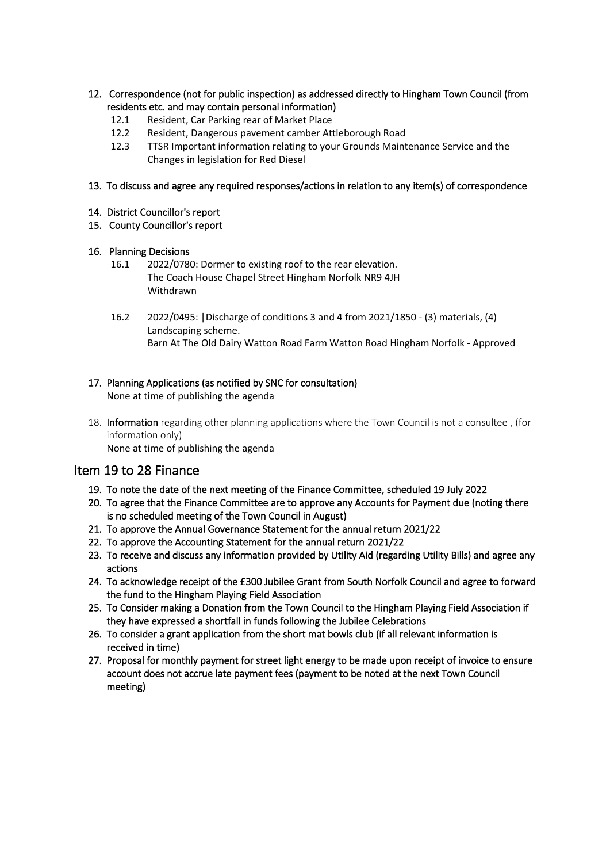- 12. Correspondence (not for public inspection) as addressed directly to Hingham Town Council (from residents etc. and may contain personal information)
	- 12.1 Resident, Car Parking rear of Market Place
	- 12.2 Resident, Dangerous pavement camber Attleborough Road
	- 12.3 TTSR Important information relating to your Grounds Maintenance Service and the Changes in legislation for Red Diesel
- 13. To discuss and agree any required responses/actions in relation to any item(s) of correspondence
- 14. District Councillor's report
- 15. County Councillor's report

### 16. Planning Decisions

- 16.1 2022/0780: Dormer to existing roof to the rear elevation. The Coach House Chapel Street Hingham Norfolk NR9 4JH Withdrawn
- 16.2 2022/0495: |Discharge of conditions 3 and 4 from 2021/1850 (3) materials, (4) Landscaping scheme. Barn At The Old Dairy Watton Road Farm Watton Road Hingham Norfolk - Approved

## 17. Planning Applications (as notified by SNC for consultation)

None at time of publishing the agenda

18. Information regarding other planning applications where the Town Council is not a consultee , (for information only)

None at time of publishing the agenda

# Item 19 to 28 Finance

- 19. To note the date of the next meeting of the Finance Committee, scheduled 19 July 2022
- 20. To agree that the Finance Committee are to approve any Accounts for Payment due (noting there is no scheduled meeting of the Town Council in August)
- 21. To approve the Annual Governance Statement for the annual return 2021/22
- 22. To approve the Accounting Statement for the annual return 2021/22
- 23. To receive and discuss any information provided by Utility Aid (regarding Utility Bills) and agree any actions
- 24. To acknowledge receipt of the £300 Jubilee Grant from South Norfolk Council and agree to forward the fund to the Hingham Playing Field Association
- 25. To Consider making a Donation from the Town Council to the Hingham Playing Field Association if they have expressed a shortfall in funds following the Jubilee Celebrations
- 26. To consider a grant application from the short mat bowls club (if all relevant information is received in time)
- 27. Proposal for monthly payment for street light energy to be made upon receipt of invoice to ensure account does not accrue late payment fees (payment to be noted at the next Town Council meeting)